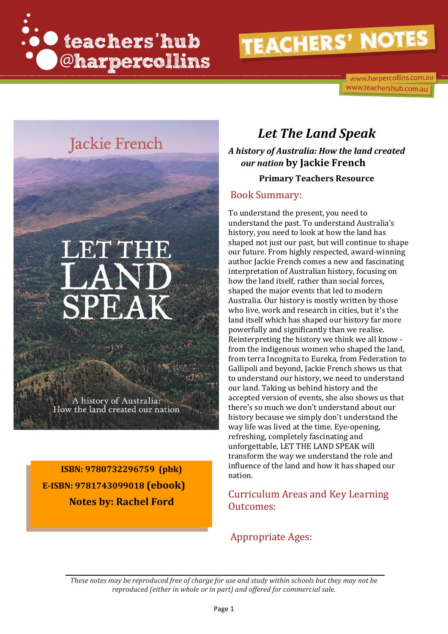

www.harpercollins.com.au www.teachershub.com.au

### Jackie French

# LET THE SPEAK

A history of Australia: How the land created our nation

**ISBN: 9780732296759 (pbk) E-ISBN: 9781743099018 (ebook) Notes by: Rachel Ford**

### *Let The Land Speak*

*A history of Australia: How the land created our nation* **by Jackie French**

#### **Primary Teachers Resource**

#### Book Summary:

To understand the present, you need to understand the past. To understand Australia's history, you need to look at how the land has shaped not just our past, but will continue to shape our future. From highly respected, award-winning author Jackie French comes a new and fascinating interpretation of Australian history, focusing on how the land itself, rather than social forces, shaped the major events that led to modern Australia. Our history is mostly written by those who live, work and research in cities, but it's the land itself which has shaped our history far more powerfully and significantly than we realise. Reinterpreting the history we think we all know from the indigenous women who shaped the land, from terra Incognita to Eureka, from Federation to Gallipoli and beyond, Jackie French shows us that to understand our history, we need to understand our land. Taking us behind history and the accepted version of events, she also shows us that there's so much we don't understand about our history because we simply don't understand the way life was lived at the time. Eye-opening, refreshing, completely fascinating and unforgettable, LET THE LAND SPEAK will transform the way we understand the role and influence of the land and how it has shaped our nation.

Curriculum Areas and Key Learning Outcomes:

#### Appropriate Ages:

*These notes may be reproduced free of charge for use and study within schools but they may not be reproduced (either in whole or in part) and offered for commercial sale.*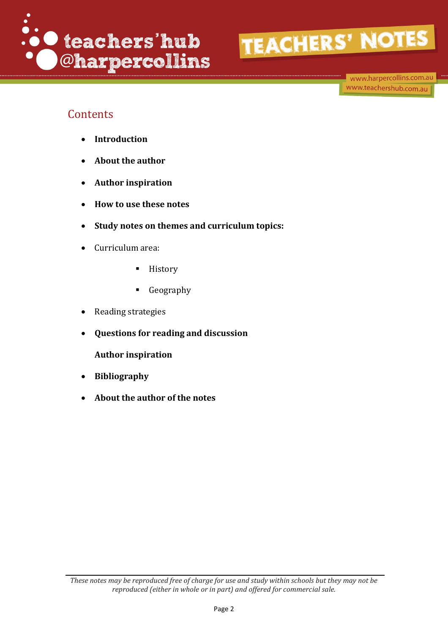

www.harpercollins.com.au www.teachershub.com.au

#### **Contents**

- **Introduction**
- **About the author**
- **Author inspiration**
- **How to use these notes**
- **Study notes on themes and curriculum topics:**
- Curriculum area:
	- History
	- Geography
- Reading strategies
- **Questions for reading and discussion**

**Author inspiration** 

- **Bibliography**
- **About the author of the notes**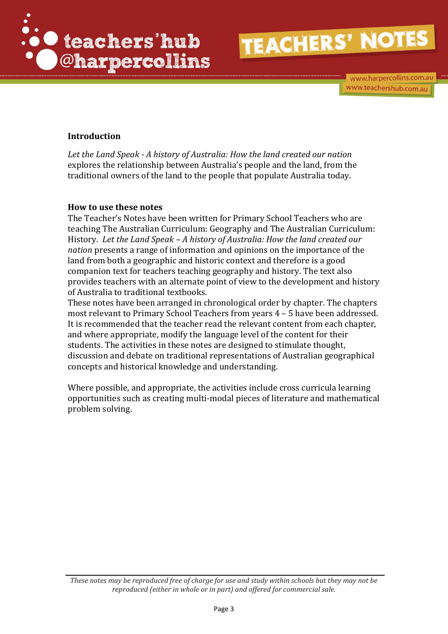

www.harpercollins.com.au www.teachershub.com.au

#### **Introduction**

*Let the Land Speak - A history of Australia: How the land created our nation* explores the relationship between Australia's people and the land, from the traditional owners of the land to the people that populate Australia today.

#### **How to use these notes**

The Teacher's Notes have been written for Primary School Teachers who are teaching The Australian Curriculum: Geography and The Australian Curriculum: History. *Let the Land Speak – A history of Australia: How the land created our nation* presents a range of information and opinions on the importance of the land from both a geographic and historic context and therefore is a good companion text for teachers teaching geography and history. The text also provides teachers with an alternate point of view to the development and history of Australia to traditional textbooks.

These notes have been arranged in chronological order by chapter. The chapters most relevant to Primary School Teachers from years 4 – 5 have been addressed. It is recommended that the teacher read the relevant content from each chapter, and where appropriate, modify the language level of the content for their students. The activities in these notes are designed to stimulate thought, discussion and debate on traditional representations of Australian geographical concepts and historical knowledge and understanding.

Where possible, and appropriate, the activities include cross curricula learning opportunities such as creating multi-modal pieces of literature and mathematical problem solving.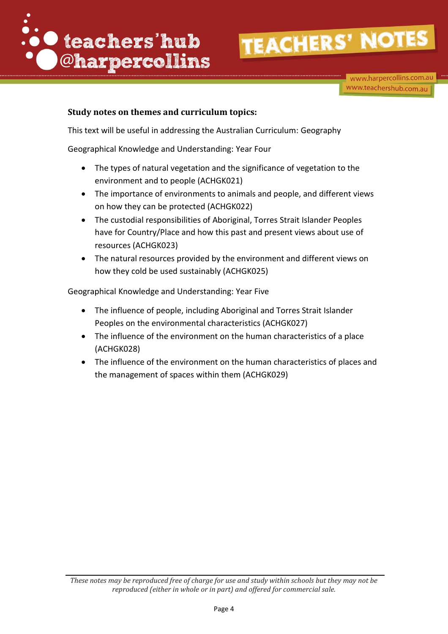

www.harpercollins.com.au www.teachershub.com.au

#### **Study notes on themes and curriculum topics:**

This text will be useful in addressing the Australian Curriculum: Geography

Geographical Knowledge and Understanding: Year Four

- The types of natural vegetation and the significance of vegetation to the environment and to people (ACHGK021)
- The importance of environments to animals and people, and different views on how they can be protected (ACHGK022)
- The custodial responsibilities of Aboriginal, Torres Strait Islander Peoples have for Country/Place and how this past and present views about use of resources (ACHGK023)
- The natural resources provided by the environment and different views on how they cold be used sustainably (ACHGK025)

Geographical Knowledge and Understanding: Year Five

- The influence of people, including Aboriginal and Torres Strait Islander Peoples on the environmental characteristics (ACHGK027)
- The influence of the environment on the human characteristics of a place (ACHGK028)
- The influence of the environment on the human characteristics of places and the management of spaces within them (ACHGK029)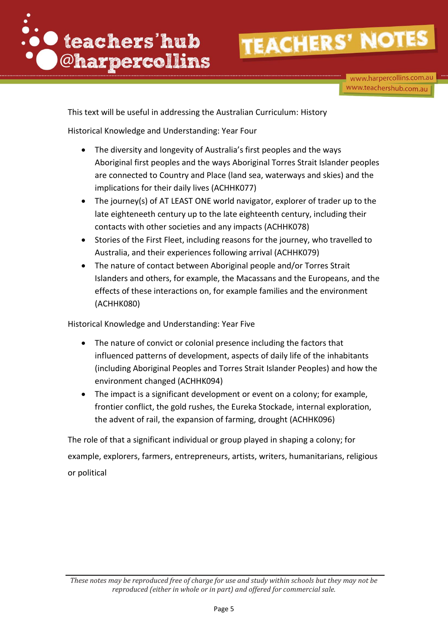

www.harpercollins.com.au www.teachershub.com.au

This text will be useful in addressing the Australian Curriculum: History

Historical Knowledge and Understanding: Year Four

- The diversity and longevity of Australia's first peoples and the ways Aboriginal first peoples and the ways Aboriginal Torres Strait Islander peoples are connected to Country and Place (land sea, waterways and skies) and the implications for their daily lives (ACHHK077)
- The journey(s) of AT LEAST ONE world navigator, explorer of trader up to the late eighteneeth century up to the late eighteenth century, including their contacts with other societies and any impacts (ACHHK078)
- Stories of the First Fleet, including reasons for the journey, who travelled to Australia, and their experiences following arrival (ACHHK079)
- The nature of contact between Aboriginal people and/or Torres Strait Islanders and others, for example, the Macassans and the Europeans, and the effects of these interactions on, for example families and the environment (ACHHK080)

Historical Knowledge and Understanding: Year Five

- The nature of convict or colonial presence including the factors that influenced patterns of development, aspects of daily life of the inhabitants (including Aboriginal Peoples and Torres Strait Islander Peoples) and how the environment changed (ACHHK094)
- The impact is a significant development or event on a colony; for example, frontier conflict, the gold rushes, the Eureka Stockade, internal exploration, the advent of rail, the expansion of farming, drought (ACHHK096)

The role of that a significant individual or group played in shaping a colony; for example, explorers, farmers, entrepreneurs, artists, writers, humanitarians, religious or political

*These notes may be reproduced free of charge for use and study within schools but they may not be reproduced (either in whole or in part) and offered for commercial sale.*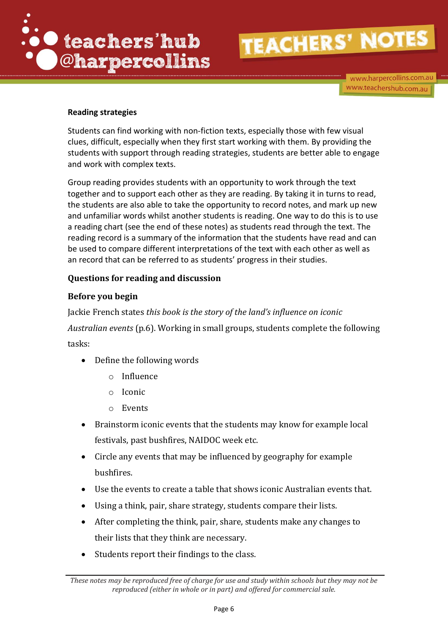

www.harpercollins.com.au www.teachershub.com.au

#### **Reading strategies**

Students can find working with non-fiction texts, especially those with few visual clues, difficult, especially when they first start working with them. By providing the students with support through reading strategies, students are better able to engage and work with complex texts.

Group reading provides students with an opportunity to work through the text together and to support each other as they are reading. By taking it in turns to read, the students are also able to take the opportunity to record notes, and mark up new and unfamiliar words whilst another students is reading. One way to do this is to use a reading chart (see the end of these notes) as students read through the text. The reading record is a summary of the information that the students have read and can be used to compare different interpretations of the text with each other as well as an record that can be referred to as students' progress in their studies.

#### **Questions for reading and discussion**

#### **Before you begin**

Jackie French states *this book is the story of the land's influence on iconic Australian events* (p.6). Working in small groups, students complete the following tasks:

- Define the following words
	- o Influence
	- o Iconic
	- o Events
- Brainstorm iconic events that the students may know for example local festivals, past bushfires, NAIDOC week etc.
- Circle any events that may be influenced by geography for example bushfires.
- Use the events to create a table that shows iconic Australian events that.
- Using a think, pair, share strategy, students compare their lists.
- After completing the think, pair, share, students make any changes to their lists that they think are necessary.
- Students report their findings to the class.

*These notes may be reproduced free of charge for use and study within schools but they may not be reproduced (either in whole or in part) and offered for commercial sale.*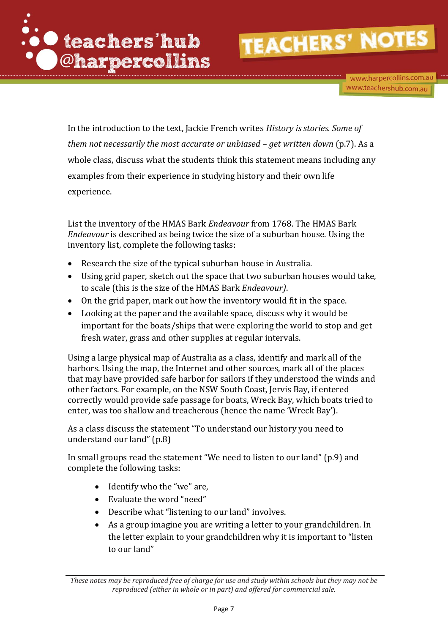

www.harpercollins.com.au www.teachershub.com.au

In the introduction to the text, Jackie French writes *History is stories. Some of them not necessarily the most accurate or unbiased – get written down* (p.7). As a whole class, discuss what the students think this statement means including any examples from their experience in studying history and their own life experience.

List the inventory of the HMAS Bark *Endeavour* from 1768. The HMAS Bark *Endeavour* is described as being twice the size of a suburban house. Using the inventory list, complete the following tasks:

- Research the size of the typical suburban house in Australia.
- Using grid paper, sketch out the space that two suburban houses would take, to scale (this is the size of the HMAS Bark *Endeavour)*.
- On the grid paper, mark out how the inventory would fit in the space.
- Looking at the paper and the available space, discuss why it would be important for the boats/ships that were exploring the world to stop and get fresh water, grass and other supplies at regular intervals.

Using a large physical map of Australia as a class, identify and mark all of the harbors. Using the map, the Internet and other sources, mark all of the places that may have provided safe harbor for sailors if they understood the winds and other factors. For example, on the NSW South Coast, Jervis Bay, if entered correctly would provide safe passage for boats, Wreck Bay, which boats tried to enter, was too shallow and treacherous (hence the name 'Wreck Bay').

As a class discuss the statement "To understand our history you need to understand our land" (p.8)

In small groups read the statement "We need to listen to our land" (p.9) and complete the following tasks:

- Identify who the "we" are,
- Evaluate the word "need"
- Describe what "listening to our land" involves.
- As a group imagine you are writing a letter to your grandchildren. In the letter explain to your grandchildren why it is important to "listen to our land"

*These notes may be reproduced free of charge for use and study within schools but they may not be reproduced (either in whole or in part) and offered for commercial sale.*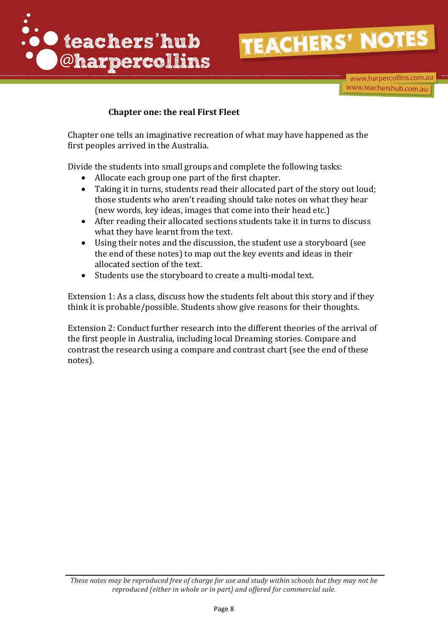

www.harpercollins.com.au www.teachershub.com.au

#### **Chapter one: the real First Fleet**

Chapter one tells an imaginative recreation of what may have happened as the first peoples arrived in the Australia.

Divide the students into small groups and complete the following tasks:

- Allocate each group one part of the first chapter.
- Taking it in turns, students read their allocated part of the story out loud; those students who aren't reading should take notes on what they hear (new words, key ideas, images that come into their head etc.)
- After reading their allocated sections students take it in turns to discuss what they have learnt from the text.
- Using their notes and the discussion, the student use a storyboard (see the end of these notes) to map out the key events and ideas in their allocated section of the text.
- Students use the storyboard to create a multi-modal text.

Extension 1: As a class, discuss how the students felt about this story and if they think it is probable/possible. Students show give reasons for their thoughts.

Extension 2: Conduct further research into the different theories of the arrival of the first people in Australia, including local Dreaming stories. Compare and contrast the research using a compare and contrast chart (see the end of these notes).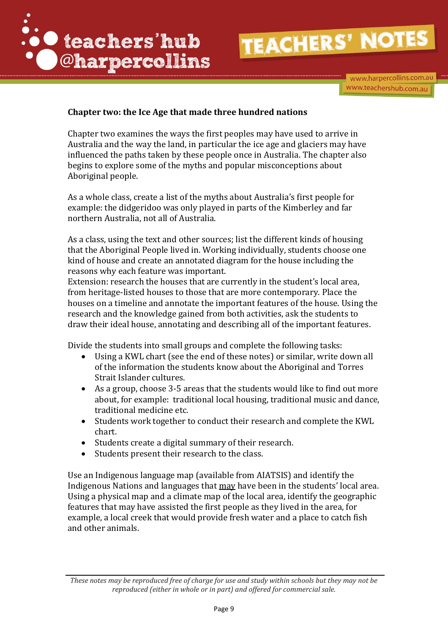

www.harpercollins.com.au www.teachershub.com.au

#### **Chapter two: the Ice Age that made three hundred nations**

Chapter two examines the ways the first peoples may have used to arrive in Australia and the way the land, in particular the ice age and glaciers may have influenced the paths taken by these people once in Australia. The chapter also begins to explore some of the myths and popular misconceptions about Aboriginal people.

As a whole class, create a list of the myths about Australia's first people for example: the didgeridoo was only played in parts of the Kimberley and far northern Australia, not all of Australia.

As a class, using the text and other sources; list the different kinds of housing that the Aboriginal People lived in. Working individually, students choose one kind of house and create an annotated diagram for the house including the reasons why each feature was important.

Extension: research the houses that are currently in the student's local area, from heritage-listed houses to those that are more contemporary. Place the houses on a timeline and annotate the important features of the house. Using the research and the knowledge gained from both activities, ask the students to draw their ideal house, annotating and describing all of the important features.

Divide the students into small groups and complete the following tasks:

- Using a KWL chart (see the end of these notes) or similar, write down all of the information the students know about the Aboriginal and Torres Strait Islander cultures.
- As a group, choose 3-5 areas that the students would like to find out more about, for example: traditional local housing, traditional music and dance, traditional medicine etc.
- Students work together to conduct their research and complete the KWL chart.
- Students create a digital summary of their research.
- Students present their research to the class.

Use an Indigenous language map (available from AIATSIS) and identify the Indigenous Nations and languages that may have been in the students' local area. Using a physical map and a climate map of the local area, identify the geographic features that may have assisted the first people as they lived in the area, for example, a local creek that would provide fresh water and a place to catch fish and other animals.

*These notes may be reproduced free of charge for use and study within schools but they may not be reproduced (either in whole or in part) and offered for commercial sale.*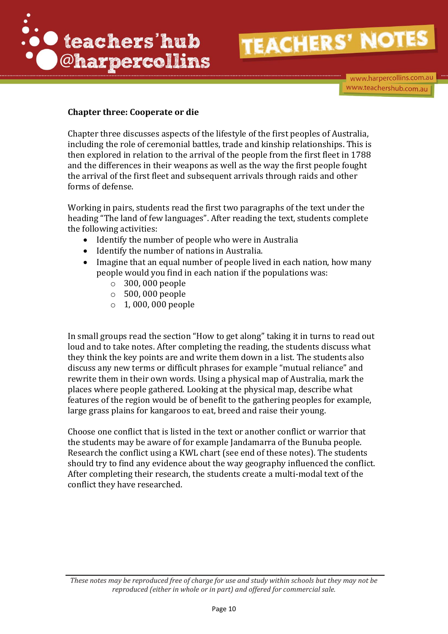

www.harpercollins.com.au www.teachershub.com.au

#### **Chapter three: Cooperate or die**

Chapter three discusses aspects of the lifestyle of the first peoples of Australia, including the role of ceremonial battles, trade and kinship relationships. This is then explored in relation to the arrival of the people from the first fleet in 1788 and the differences in their weapons as well as the way the first people fought the arrival of the first fleet and subsequent arrivals through raids and other forms of defense.

Working in pairs, students read the first two paragraphs of the text under the heading "The land of few languages". After reading the text, students complete the following activities:

- Identify the number of people who were in Australia
- Identify the number of nations in Australia.
- Imagine that an equal number of people lived in each nation, how many people would you find in each nation if the populations was:
	- o 300, 000 people
	- o 500, 000 people
	- o 1, 000, 000 people

In small groups read the section "How to get along" taking it in turns to read out loud and to take notes. After completing the reading, the students discuss what they think the key points are and write them down in a list. The students also discuss any new terms or difficult phrases for example "mutual reliance" and rewrite them in their own words. Using a physical map of Australia, mark the places where people gathered. Looking at the physical map, describe what features of the region would be of benefit to the gathering peoples for example, large grass plains for kangaroos to eat, breed and raise their young.

Choose one conflict that is listed in the text or another conflict or warrior that the students may be aware of for example Jandamarra of the Bunuba people. Research the conflict using a KWL chart (see end of these notes). The students should try to find any evidence about the way geography influenced the conflict. After completing their research, the students create a multi-modal text of the conflict they have researched.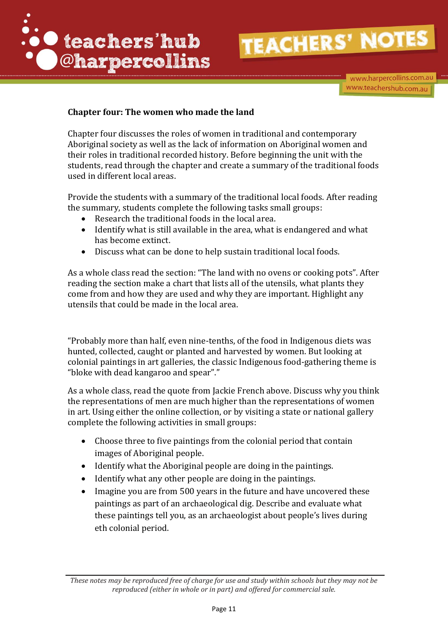

www.harpercollins.com.au www.teachershub.com.au

#### **Chapter four: The women who made the land**

Chapter four discusses the roles of women in traditional and contemporary Aboriginal society as well as the lack of information on Aboriginal women and their roles in traditional recorded history. Before beginning the unit with the students, read through the chapter and create a summary of the traditional foods used in different local areas.

Provide the students with a summary of the traditional local foods. After reading the summary, students complete the following tasks small groups:

- Research the traditional foods in the local area.
- Identify what is still available in the area, what is endangered and what has become extinct.
- Discuss what can be done to help sustain traditional local foods.

As a whole class read the section: "The land with no ovens or cooking pots". After reading the section make a chart that lists all of the utensils, what plants they come from and how they are used and why they are important. Highlight any utensils that could be made in the local area.

"Probably more than half, even nine-tenths, of the food in Indigenous diets was hunted, collected, caught or planted and harvested by women. But looking at colonial paintings in art galleries, the classic Indigenous food-gathering theme is "bloke with dead kangaroo and spear"."

As a whole class, read the quote from Jackie French above. Discuss why you think the representations of men are much higher than the representations of women in art. Using either the online collection, or by visiting a state or national gallery complete the following activities in small groups:

- Choose three to five paintings from the colonial period that contain images of Aboriginal people.
- Identify what the Aboriginal people are doing in the paintings.
- Identify what any other people are doing in the paintings.
- Imagine you are from 500 years in the future and have uncovered these paintings as part of an archaeological dig. Describe and evaluate what these paintings tell you, as an archaeologist about people's lives during eth colonial period.

*These notes may be reproduced free of charge for use and study within schools but they may not be reproduced (either in whole or in part) and offered for commercial sale.*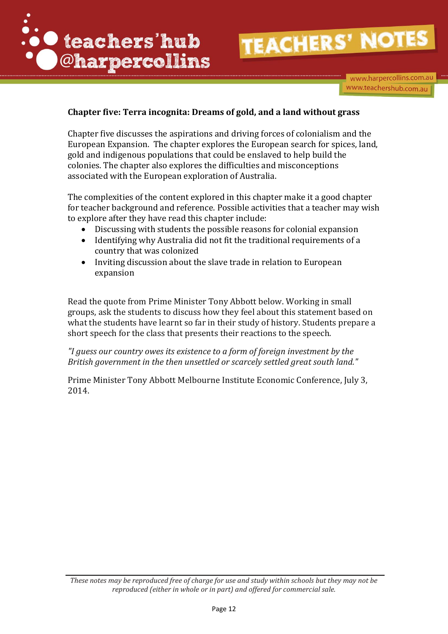

www.harpercollins.com.au www.teachershub.com.au

#### **Chapter five: Terra incognita: Dreams of gold, and a land without grass**

Chapter five discusses the aspirations and driving forces of colonialism and the European Expansion. The chapter explores the European search for spices, land, gold and indigenous populations that could be enslaved to help build the colonies. The chapter also explores the difficulties and misconceptions associated with the European exploration of Australia.

The complexities of the content explored in this chapter make it a good chapter for teacher background and reference. Possible activities that a teacher may wish to explore after they have read this chapter include:

- Discussing with students the possible reasons for colonial expansion
- Identifying why Australia did not fit the traditional requirements of a country that was colonized
- Inviting discussion about the slave trade in relation to European expansion

Read the quote from Prime Minister Tony Abbott below. Working in small groups, ask the students to discuss how they feel about this statement based on what the students have learnt so far in their study of history. Students prepare a short speech for the class that presents their reactions to the speech.

*"I guess our country owes its existence to a form of foreign investment by the British government in the then unsettled or scarcely settled great south land."* 

Prime Minister Tony Abbott Melbourne Institute Economic Conference, July 3, 2014.

*These notes may be reproduced free of charge for use and study within schools but they may not be reproduced (either in whole or in part) and offered for commercial sale.*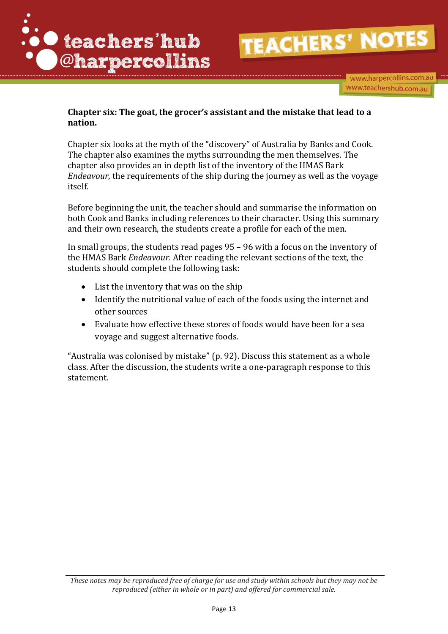

www.harpercollins.com.au www.teachershub.com.au

#### **Chapter six: The goat, the grocer's assistant and the mistake that lead to a nation.**

Chapter six looks at the myth of the "discovery" of Australia by Banks and Cook. The chapter also examines the myths surrounding the men themselves. The chapter also provides an in depth list of the inventory of the HMAS Bark *Endeavour*, the requirements of the ship during the journey as well as the voyage itself.

Before beginning the unit, the teacher should and summarise the information on both Cook and Banks including references to their character. Using this summary and their own research, the students create a profile for each of the men.

In small groups, the students read pages 95 – 96 with a focus on the inventory of the HMAS Bark *Endeavour.* After reading the relevant sections of the text, the students should complete the following task:

- List the inventory that was on the ship
- Identify the nutritional value of each of the foods using the internet and other sources
- Evaluate how effective these stores of foods would have been for a sea voyage and suggest alternative foods.

"Australia was colonised by mistake" (p. 92). Discuss this statement as a whole class. After the discussion, the students write a one-paragraph response to this statement.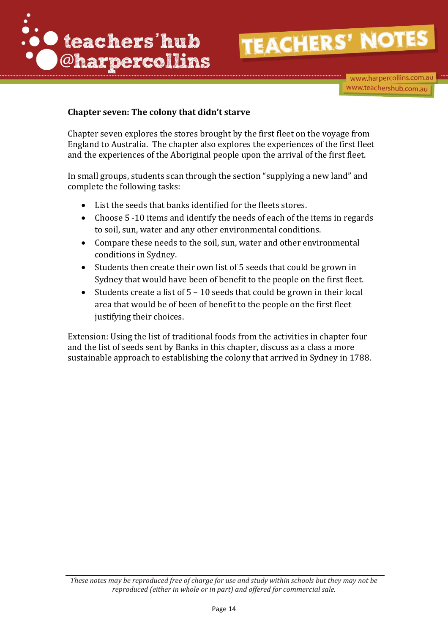

www.harpercollins.com.au www.teachershub.com.au

#### **Chapter seven: The colony that didn't starve**

Chapter seven explores the stores brought by the first fleet on the voyage from England to Australia. The chapter also explores the experiences of the first fleet and the experiences of the Aboriginal people upon the arrival of the first fleet.

In small groups, students scan through the section "supplying a new land" and complete the following tasks:

- List the seeds that banks identified for the fleets stores.
- Choose 5 -10 items and identify the needs of each of the items in regards to soil, sun, water and any other environmental conditions.
- Compare these needs to the soil, sun, water and other environmental conditions in Sydney.
- Students then create their own list of 5 seeds that could be grown in Sydney that would have been of benefit to the people on the first fleet.
- Students create a list of  $5 10$  seeds that could be grown in their local area that would be of been of benefit to the people on the first fleet justifying their choices.

Extension: Using the list of traditional foods from the activities in chapter four and the list of seeds sent by Banks in this chapter, discuss as a class a more sustainable approach to establishing the colony that arrived in Sydney in 1788.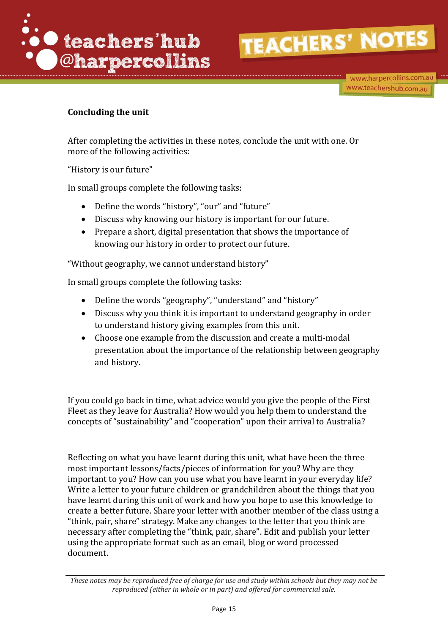

#### **Concluding the unit**

After completing the activities in these notes, conclude the unit with one. Or more of the following activities:

"History is our future"

In small groups complete the following tasks:

- Define the words "history", "our" and "future"
- Discuss why knowing our history is important for our future.
- Prepare a short, digital presentation that shows the importance of knowing our history in order to protect our future.

"Without geography, we cannot understand history"

In small groups complete the following tasks:

- Define the words "geography", "understand" and "history"
- Discuss why you think it is important to understand geography in order to understand history giving examples from this unit.
- Choose one example from the discussion and create a multi-modal presentation about the importance of the relationship between geography and history.

If you could go back in time, what advice would you give the people of the First Fleet as they leave for Australia? How would you help them to understand the concepts of "sustainability" and "cooperation" upon their arrival to Australia?

Reflecting on what you have learnt during this unit, what have been the three most important lessons/facts/pieces of information for you? Why are they important to you? How can you use what you have learnt in your everyday life? Write a letter to your future children or grandchildren about the things that you have learnt during this unit of work and how you hope to use this knowledge to create a better future. Share your letter with another member of the class using a "think, pair, share" strategy. Make any changes to the letter that you think are necessary after completing the "think, pair, share". Edit and publish your letter using the appropriate format such as an email, blog or word processed document.

*These notes may be reproduced free of charge for use and study within schools but they may not be reproduced (either in whole or in part) and offered for commercial sale.*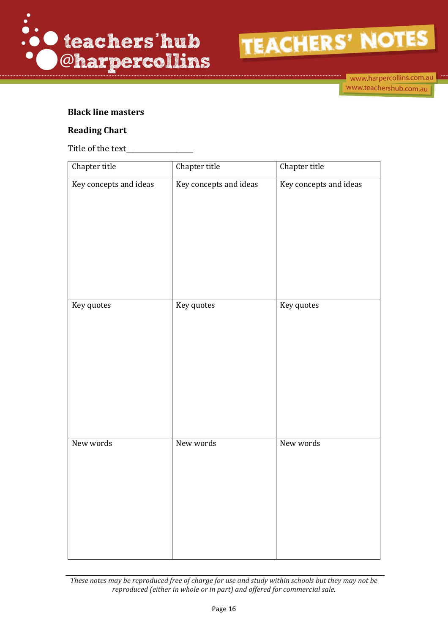



www.harpercollins.com.au www.teachershub.com.au

#### **Black line masters**

#### **Reading Chart**

Title of the text\_

| Chapter title          | Chapter title          | Chapter title          |
|------------------------|------------------------|------------------------|
| Key concepts and ideas | Key concepts and ideas | Key concepts and ideas |
| Key quotes             | Key quotes             | Key quotes             |
| New words              | New words              | New words              |

*These notes may be reproduced free of charge for use and study within schools but they may not be reproduced (either in whole or in part) and offered for commercial sale.*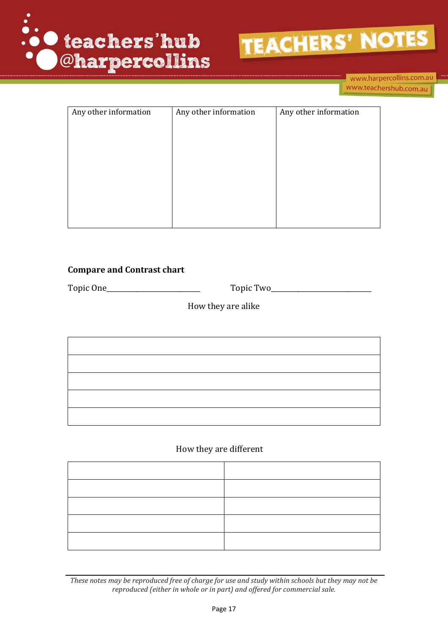



| Any other information | Any other information | Any other information |
|-----------------------|-----------------------|-----------------------|
|                       |                       |                       |
|                       |                       |                       |
|                       |                       |                       |
|                       |                       |                       |
|                       |                       |                       |
|                       |                       |                       |
|                       |                       |                       |
|                       |                       |                       |
|                       |                       |                       |
|                       |                       |                       |
|                       |                       |                       |

#### **Compare and Contrast chart**

Topic One\_\_\_\_\_\_\_\_\_\_\_\_\_\_\_\_\_\_\_\_\_\_\_\_\_\_\_\_ Topic Two\_\_\_\_\_\_\_\_\_\_\_\_\_\_\_\_\_\_\_\_\_\_\_\_\_\_\_\_\_\_

How they are alike

#### How they are different

*These notes may be reproduced free of charge for use and study within schools but they may not be reproduced (either in whole or in part) and offered for commercial sale.*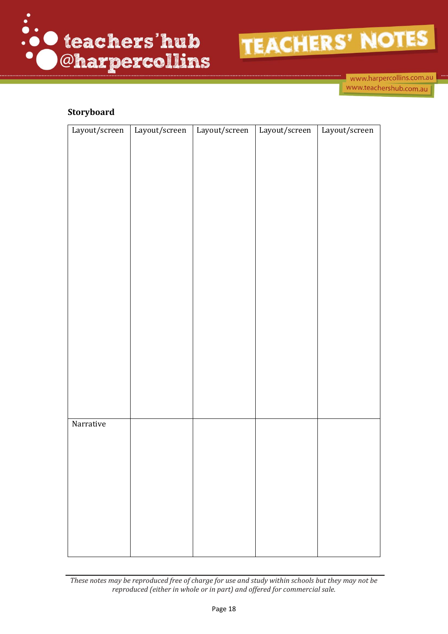



www.harpercollins.com.au www.teachershub.com.au

#### **Storyboard**

| Layout/screen | Layout/screen | Layout/screen | Layout/screen | Layout/screen |
|---------------|---------------|---------------|---------------|---------------|
|               |               |               |               |               |
|               |               |               |               |               |
|               |               |               |               |               |
|               |               |               |               |               |
|               |               |               |               |               |
|               |               |               |               |               |
|               |               |               |               |               |
|               |               |               |               |               |
|               |               |               |               |               |
|               |               |               |               |               |
|               |               |               |               |               |
|               |               |               |               |               |
|               |               |               |               |               |
|               |               |               |               |               |
|               |               |               |               |               |
|               |               |               |               |               |
|               |               |               |               |               |
|               |               |               |               |               |
|               |               |               |               |               |
|               |               |               |               |               |
| Narrative     |               |               |               |               |
|               |               |               |               |               |
|               |               |               |               |               |
|               |               |               |               |               |
|               |               |               |               |               |
|               |               |               |               |               |
|               |               |               |               |               |
|               |               |               |               |               |
|               |               |               |               |               |

*These notes may be reproduced free of charge for use and study within schools but they may not be reproduced (either in whole or in part) and offered for commercial sale.*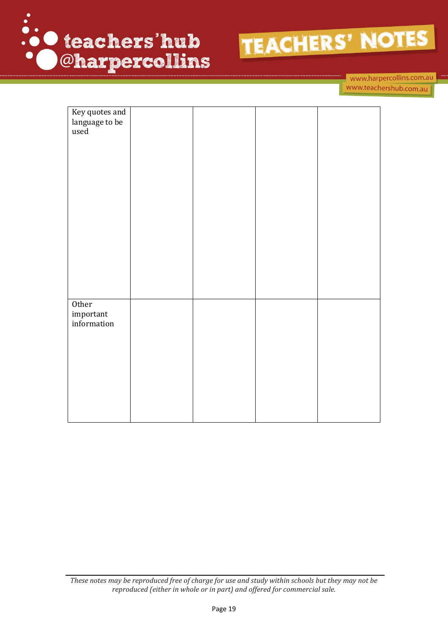

www.harpercollins.com.au www.teachershub.com.au

| Key quotes and |  |  |
|----------------|--|--|
| language to be |  |  |
| used           |  |  |
|                |  |  |
|                |  |  |
|                |  |  |
|                |  |  |
|                |  |  |
|                |  |  |
|                |  |  |
|                |  |  |
|                |  |  |
|                |  |  |
|                |  |  |
|                |  |  |
|                |  |  |
|                |  |  |
|                |  |  |
|                |  |  |
|                |  |  |
| Other          |  |  |
| important      |  |  |
| information    |  |  |
|                |  |  |
|                |  |  |
|                |  |  |
|                |  |  |
|                |  |  |
|                |  |  |
|                |  |  |
|                |  |  |
|                |  |  |
|                |  |  |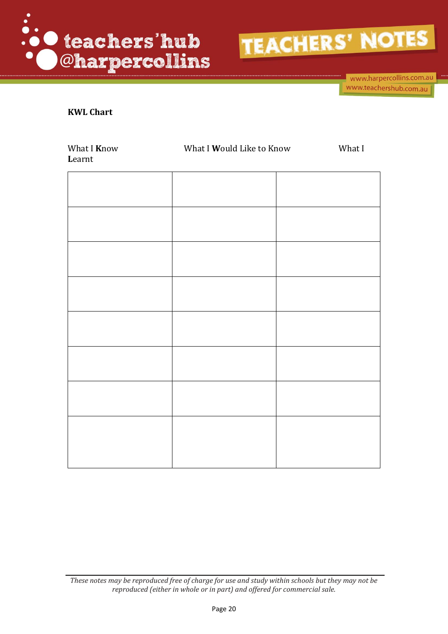

www.harpercollins.com.au www.teachershub.com.au

#### **KWL Chart**

| What I Know<br>Learnt | What I Would Like to Know | What I |
|-----------------------|---------------------------|--------|
|                       |                           |        |
|                       |                           |        |
|                       |                           |        |
|                       |                           |        |
|                       |                           |        |
|                       |                           |        |
|                       |                           |        |
|                       |                           |        |
|                       |                           |        |
|                       |                           |        |

*These notes may be reproduced free of charge for use and study within schools but they may not be reproduced (either in whole or in part) and offered for commercial sale.*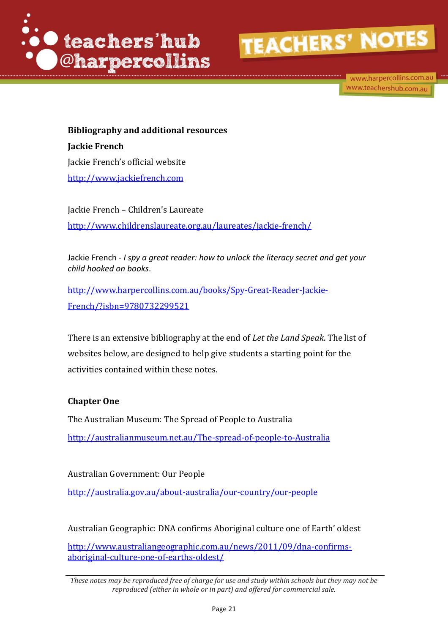

www.harpercollins.com.au www.teachershub.com.au

**Bibliography and additional resources Jackie French** Jackie French's official website [http://www.jackiefrench.com](http://www.jackiefrench.com/)

Jackie French – Children's Laureate <http://www.childrenslaureate.org.au/laureates/jackie-french/>

Jackie French - *I spy a great reader: how to unlock the literacy secret and get your child hooked on books*.

[http://www.harpercollins.com.au/books/Spy-Great-Reader-Jackie-](http://www.harpercollins.com.au/books/Spy-Great-Reader-Jackie-French/?isbn=9780732299521)[French/?isbn=9780732299521](http://www.harpercollins.com.au/books/Spy-Great-Reader-Jackie-French/?isbn=9780732299521)

There is an extensive bibliography at the end of *Let the Land Speak*. The list of websites below, are designed to help give students a starting point for the activities contained within these notes.

#### **Chapter One**

The Australian Museum: The Spread of People to Australia <http://australianmuseum.net.au/The-spread-of-people-to-Australia>

Australian Government: Our People <http://australia.gov.au/about-australia/our-country/our-people>

Australian Geographic: DNA confirms Aboriginal culture one of Earth' oldest

[http://www.australiangeographic.com.au/news/2011/09/dna-confirms](http://www.australiangeographic.com.au/news/2011/09/dna-confirms-aboriginal-culture-one-of-earths-oldest/)[aboriginal-culture-one-of-earths-oldest/](http://www.australiangeographic.com.au/news/2011/09/dna-confirms-aboriginal-culture-one-of-earths-oldest/)

*These notes may be reproduced free of charge for use and study within schools but they may not be reproduced (either in whole or in part) and offered for commercial sale.*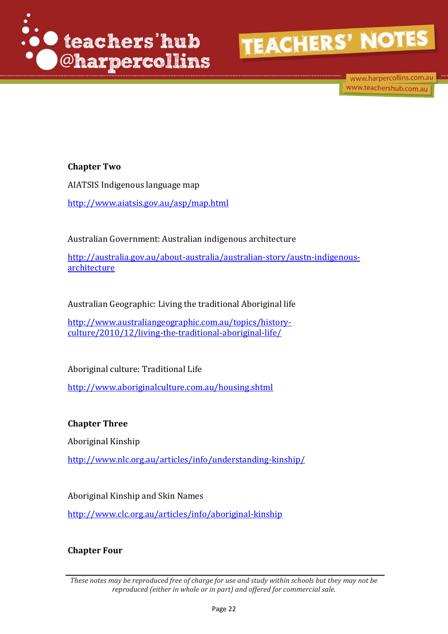

www.harpercollins.com.au www.teachershub.com.au

#### **Chapter Two**

AIATSIS Indigenous language map <http://www.aiatsis.gov.au/asp/map.html>

Australian Government: Australian indigenous architecture

[http://australia.gov.au/about-australia/australian-story/austn-indigenous](http://australia.gov.au/about-australia/australian-story/austn-indigenous-architecture)[architecture](http://australia.gov.au/about-australia/australian-story/austn-indigenous-architecture)

Australian Geographic: Living the traditional Aboriginal life

[http://www.australiangeographic.com.au/topics/history](http://www.australiangeographic.com.au/topics/history-culture/2010/12/living-the-traditional-aboriginal-life/)[culture/2010/12/living-the-traditional-aboriginal-life/](http://www.australiangeographic.com.au/topics/history-culture/2010/12/living-the-traditional-aboriginal-life/)

Aboriginal culture: Traditional Life

<http://www.aboriginalculture.com.au/housing.shtml>

**Chapter Three**

Aboriginal Kinship

<http://www.nlc.org.au/articles/info/understanding-kinship/>

Aboriginal Kinship and Skin Names

<http://www.clc.org.au/articles/info/aboriginal-kinship>

#### **Chapter Four**

*These notes may be reproduced free of charge for use and study within schools but they may not be reproduced (either in whole or in part) and offered for commercial sale.*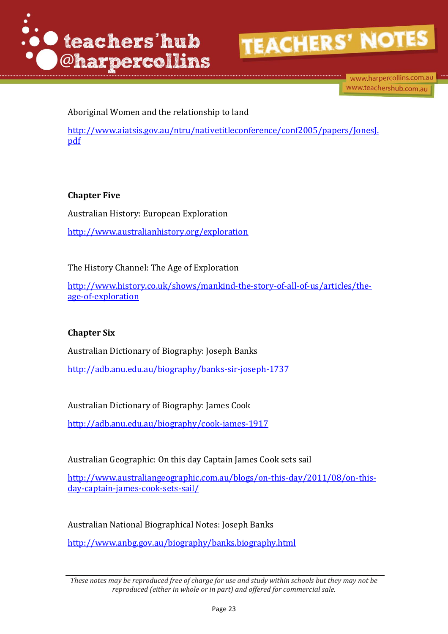

www.harpercollins.com.au www.teachershub.com.au

Aboriginal Women and the relationship to land

[http://www.aiatsis.gov.au/ntru/nativetitleconference/conf2005/papers/JonesJ.](http://www.aiatsis.gov.au/ntru/nativetitleconference/conf2005/papers/JonesJ.pdf) [pdf](http://www.aiatsis.gov.au/ntru/nativetitleconference/conf2005/papers/JonesJ.pdf)

#### **Chapter Five**

Australian History: European Exploration <http://www.australianhistory.org/exploration>

The History Channel: The Age of Exploration

[http://www.history.co.uk/shows/mankind-the-story-of-all-of-us/articles/the](http://www.history.co.uk/shows/mankind-the-story-of-all-of-us/articles/the-age-of-exploration)[age-of-exploration](http://www.history.co.uk/shows/mankind-the-story-of-all-of-us/articles/the-age-of-exploration)

#### **Chapter Six**

Australian Dictionary of Biography: Joseph Banks <http://adb.anu.edu.au/biography/banks-sir-joseph-1737>

Australian Dictionary of Biography: James Cook

<http://adb.anu.edu.au/biography/cook-james-1917>

Australian Geographic: On this day Captain James Cook sets sail

[http://www.australiangeographic.com.au/blogs/on-this-day/2011/08/on-this](http://www.australiangeographic.com.au/blogs/on-this-day/2011/08/on-this-day-captain-james-cook-sets-sail/)[day-captain-james-cook-sets-sail/](http://www.australiangeographic.com.au/blogs/on-this-day/2011/08/on-this-day-captain-james-cook-sets-sail/)

Australian National Biographical Notes: Joseph Banks

<http://www.anbg.gov.au/biography/banks.biography.html>

*These notes may be reproduced free of charge for use and study within schools but they may not be reproduced (either in whole or in part) and offered for commercial sale.*